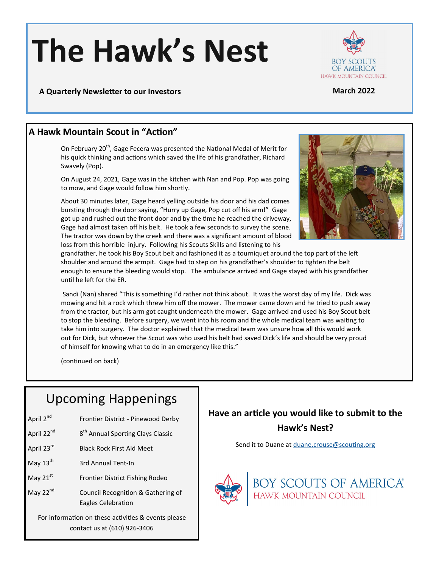# **The Hawk's Nest**



**A Quarterly Newsletter to our Investors March 2022**

#### **A Hawk Mountain Scout in "Action"**

On February 20<sup>th</sup>, Gage Fecera was presented the National Medal of Merit for his quick thinking and actions which saved the life of his grandfather, Richard Swavely (Pop).

On August 24, 2021, Gage was in the kitchen with Nan and Pop. Pop was going to mow, and Gage would follow him shortly.

About 30 minutes later, Gage heard yelling outside his door and his dad comes bursting through the door saying, "Hurry up Gage, Pop cut off his arm!" Gage got up and rushed out the front door and by the time he reached the driveway, Gage had almost taken off his belt. He took a few seconds to survey the scene. The tractor was down by the creek and there was a significant amount of blood loss from this horrible injury. Following his Scouts Skills and listening to his



grandfather, he took his Boy Scout belt and fashioned it as a tourniquet around the top part of the left shoulder and around the armpit. Gage had to step on his grandfather's shoulder to tighten the belt enough to ensure the bleeding would stop. The ambulance arrived and Gage stayed with his grandfather until he left for the ER.

Sandi (Nan) shared "This is something I'd rather not think about. It was the worst day of my life. Dick was mowing and hit a rock which threw him off the mower. The mower came down and he tried to push away from the tractor, but his arm got caught underneath the mower. Gage arrived and used his Boy Scout belt to stop the bleeding. Before surgery, we went into his room and the whole medical team was waiting to take him into surgery. The doctor explained that the medical team was unsure how all this would work out for Dick, but whoever the Scout was who used his belt had saved Dick's life and should be very proud of himself for knowing what to do in an emergency like this."

(continued on back)

## Upcoming Happenings

- April 2<sup>nd</sup> Frontier District Pinewood Derby
- April 22<sup>nd</sup> 8<sup>th</sup> Annual Sporting Clays Classic
- April 23<sup>rd</sup> Black Rock First Aid Meet
- May  $13<sup>th</sup>$  3rd Annual Tent-In
- May 21<sup>st</sup> Frontier District Fishing Rodeo
- May 22<sup>nd</sup> Council Recognition & Gathering of Eagles Celebration

For information on these activities & events please contact us at (610) 926-3406

#### **Have an article you would like to submit to the Hawk's Nest?**

Send it to Duane at [duane.crouse@scouting.org](mailto:duane.crouse@scouting.org?subject=Hawk)